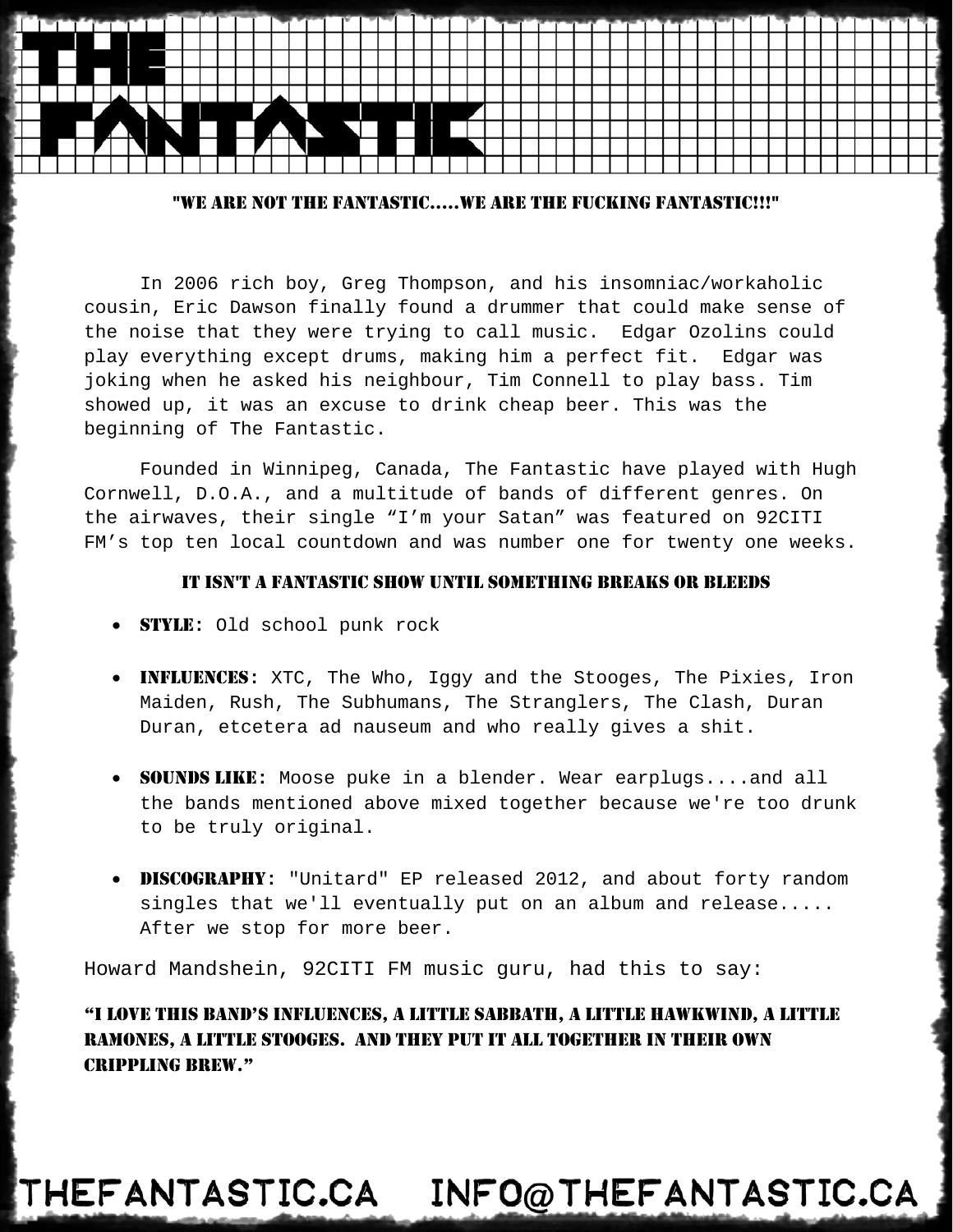### "WE ARE NOT THE FANTASTIC.....WE ARE THE FUCKING FANTASTIC!!!"

In 2006 rich boy, Greg Thompson, and his insomniac/workaholic cousin, Eric Dawson finally found a drummer that could make sense of the noise that they were trying to call music. Edgar Ozolins could play everything except drums, making him a perfect fit. Edgar was joking when he asked his neighbour, Tim Connell to play bass. Tim showed up, it was an excuse to drink cheap beer. This was the beginning of The Fantastic.

 Founded in Winnipeg, Canada, The Fantastic have played with Hugh Cornwell, D.O.A., and a multitude of bands of different genres. On the airwaves, their single "I'm your Satan" was featured on 92CITI FM's top ten local countdown and was number one for twenty one weeks.

#### IT ISN'T A FANTASTIC SHOW UNTIL SOMETHING BREAKS OR BLEEDS

- STYLE**:** Old school punk rock
- INFLUENCES**:** XTC, The Who, Iggy and the Stooges, The Pixies, Iron Maiden, Rush, The Subhumans, The Stranglers, The Clash, Duran Duran, etcetera ad nauseum and who really gives a shit.
- SOUNDS LIKE**:** Moose puke in a blender. Wear earplugs....and all the bands mentioned above mixed together because we're too drunk to be truly original.
- DISCOGRAPHY**:** "Unitard" EP released 2012, and about forty random singles that we'll eventually put on an album and release..... After we stop for more beer.

Howard Mandshein, 92CITI FM music guru, had this to say:

"I LOVE THIS BAND'S INFLUENCES, A LITTLE SABBATH, A LITTLE HAWKWIND, A LITTLE RAMONES, A LITTLE STOOGES. AND THEY PUT IT ALL TOGETHER IN THEIR OWN CRIPPLING BREW."

# THEFANTASTIC.CA INFO@THEFANTASTIC.CA